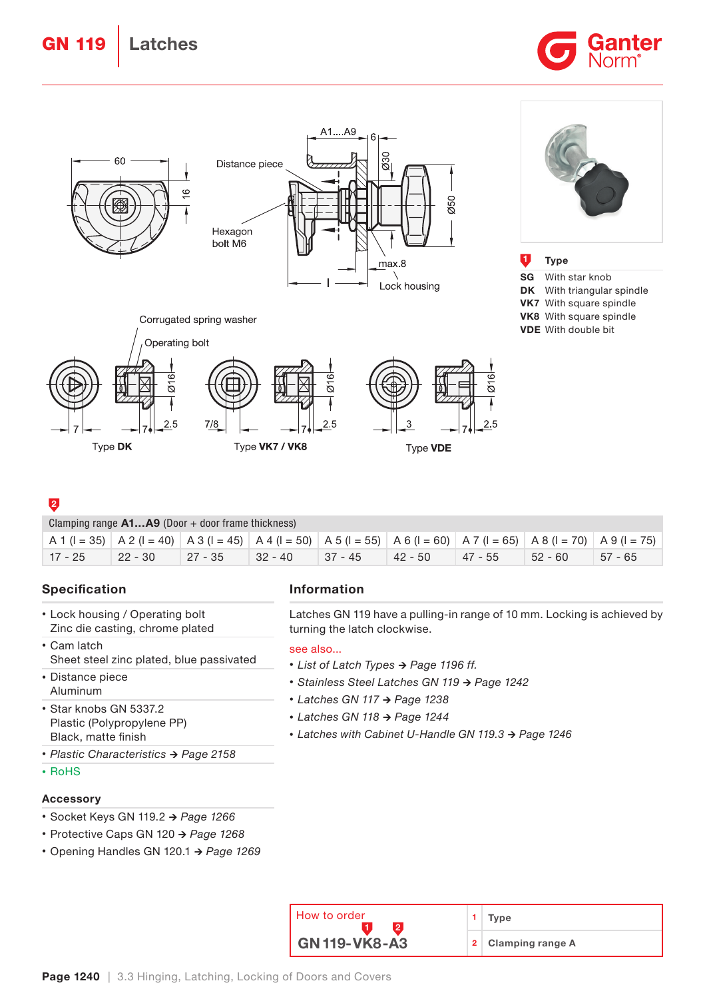GN 119 | Latches





# 2

| Clamping range $A1A9$ (Door + door frame thickness) |           |             |            |           |           |             |           |                                                                                                                                                                                            |  |  |
|-----------------------------------------------------|-----------|-------------|------------|-----------|-----------|-------------|-----------|--------------------------------------------------------------------------------------------------------------------------------------------------------------------------------------------|--|--|
|                                                     |           |             |            |           |           |             |           | $A \cdot (1 = 35)$ $A \cdot 2 (1 = 40)$ $A \cdot 3 (1 = 45)$ $A \cdot 4 (1 = 50)$ $A \cdot 5 (1 = 55)$ $A \cdot 6 (1 = 60)$ $A \cdot 7 (1 = 65)$ $A \cdot 8 (1 = 70)$ $A \cdot 9 (1 = 75)$ |  |  |
| $17 - 25$                                           | $22 - 30$ | $ 27 - 35 $ | $ 32 - 40$ | $37 - 45$ | $42 - 50$ | $ 47 - 55 $ | $52 - 60$ | - 57 - 65                                                                                                                                                                                  |  |  |

# Specification

- Lock housing / Operating bolt Zinc die casting, chrome plated
- Cam latch Sheet steel zinc plated, blue passivated
- Distance piece Aluminum
- Star knobs GN 5337.2 Plastic (Polypropylene PP) Black, matte finish
- *•* Plastic Characteristics → Page 2158
- RoHS

# Accessory

- Socket Keys GN 119.2 → Page 1266
- Protective Caps GN 120 → Page 1268
- Opening Handles GN 120.1 → Page 1269

# Information

Latches GN 119 have a pulling-in range of 10 mm. Locking is achieved by turning the latch clockwise.

#### see also...

- *•* List of Latch Types → Page 1196 ff.
- *•* Stainless Steel Latches GN 119 → Page 1242
- *•* Latches GN 117 → Page 1238
- *•* Latches GN 118 → Page 1244
- *•* Latches with Cabinet U-Handle GN 119.3 → Page 1246

| How to order         | Tvpe               |  |
|----------------------|--------------------|--|
| <b>GN 119-VK8-A3</b> | 2 Clamping range A |  |